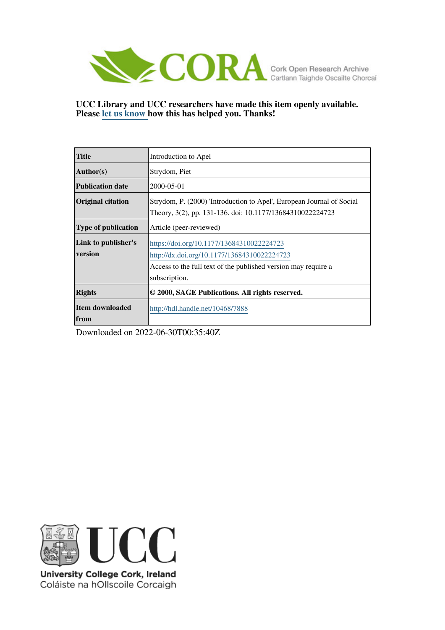

**UCC Library and UCC researchers have made this item openly available. Please [let us know h](https://libguides.ucc.ie/openaccess/impact?suffix=7888&title=Introduction to Apel)ow this has helped you. Thanks!**

| <b>Title</b>                   | Introduction to Apel                                                                                                                                                        |
|--------------------------------|-----------------------------------------------------------------------------------------------------------------------------------------------------------------------------|
| <b>Author(s)</b>               | Strydom, Piet                                                                                                                                                               |
| <b>Publication date</b>        | 2000-05-01                                                                                                                                                                  |
| <b>Original citation</b>       | Strydom, P. (2000) 'Introduction to Apel', European Journal of Social<br>Theory, 3(2), pp. 131-136. doi: 10.1177/13684310022224723                                          |
| <b>Type of publication</b>     | Article (peer-reviewed)                                                                                                                                                     |
| Link to publisher's<br>version | https://doi.org/10.1177/13684310022224723<br>http://dx.doi.org/10.1177/13684310022224723<br>Access to the full text of the published version may require a<br>subscription. |
| <b>Rights</b>                  | © 2000, SAGE Publications. All rights reserved.                                                                                                                             |
| Item downloaded<br>  from      | http://hdl.handle.net/10468/7888                                                                                                                                            |

Downloaded on 2022-06-30T00:35:40Z



University College Cork, Ireland Coláiste na hOllscoile Corcaigh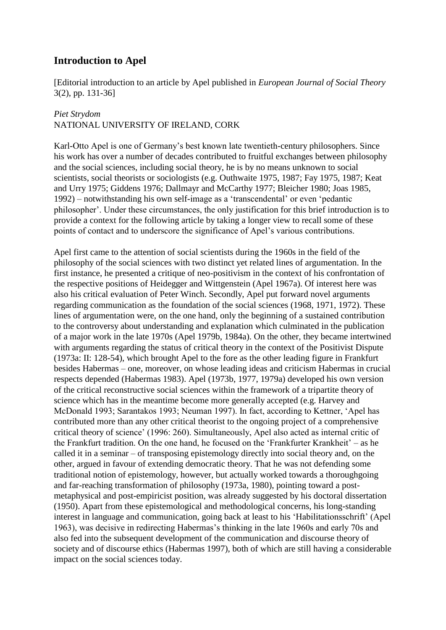## **Introduction to Apel**

[Editorial introduction to an article by Apel published in *European Journal of Social Theory* 3(2), pp. 131-36]

## *Piet Strydom*

## NATIONAL UNIVERSITY OF IRELAND, CORK

Karl-Otto Apel is one of Germany's best known late twentieth-century philosophers. Since his work has over a number of decades contributed to fruitful exchanges between philosophy and the social sciences, including social theory, he is by no means unknown to social scientists, social theorists or sociologists (e.g. Outhwaite 1975, 1987; Fay 1975, 1987; Keat and Urry 1975; Giddens 1976; Dallmayr and McCarthy 1977; Bleicher 1980; Joas 1985, 1992) – notwithstanding his own self-image as a 'transcendental' or even 'pedantic philosopher'. Under these circumstances, the only justification for this brief introduction is to provide a context for the following article by taking a longer view to recall some of these points of contact and to underscore the significance of Apel's various contributions.

Apel first came to the attention of social scientists during the 1960s in the field of the philosophy of the social sciences with two distinct yet related lines of argumentation. In the first instance, he presented a critique of neo-positivism in the context of his confrontation of the respective positions of Heidegger and Wittgenstein (Apel 1967a). Of interest here was also his critical evaluation of Peter Winch. Secondly, Apel put forward novel arguments regarding communication as the foundation of the social sciences (1968, 1971, 1972). These lines of argumentation were, on the one hand, only the beginning of a sustained contribution to the controversy about understanding and explanation which culminated in the publication of a major work in the late 1970s (Apel 1979b, 1984a). On the other, they became intertwined with arguments regarding the status of critical theory in the context of the Positivist Dispute (1973a: II: 128-54), which brought Apel to the fore as the other leading figure in Frankfurt besides Habermas – one, moreover, on whose leading ideas and criticism Habermas in crucial respects depended (Habermas 1983). Apel (1973b, 1977, 1979a) developed his own version of the critical reconstructive social sciences within the framework of a tripartite theory of science which has in the meantime become more generally accepted (e.g. Harvey and McDonald 1993; Sarantakos 1993; Neuman 1997). In fact, according to Kettner, 'Apel has contributed more than any other critical theorist to the ongoing project of a comprehensive critical theory of science' (1996: 260). Simultaneously, Apel also acted as internal critic of the Frankfurt tradition. On the one hand, he focused on the 'Frankfurter Krankheit' – as he called it in a seminar – of transposing epistemology directly into social theory and, on the other, argued in favour of extending democratic theory. That he was not defending some traditional notion of epistemology, however, but actually worked towards a thoroughgoing and far-reaching transformation of philosophy (1973a, 1980), pointing toward a postmetaphysical and post-empiricist position, was already suggested by his doctoral dissertation (1950). Apart from these epistemological and methodological concerns, his long-standing interest in language and communication, going back at least to his 'Habilitationsschrift' (Apel 1963), was decisive in redirecting Habermas's thinking in the late 1960s and early 70s and also fed into the subsequent development of the communication and discourse theory of society and of discourse ethics (Habermas 1997), both of which are still having a considerable impact on the social sciences today.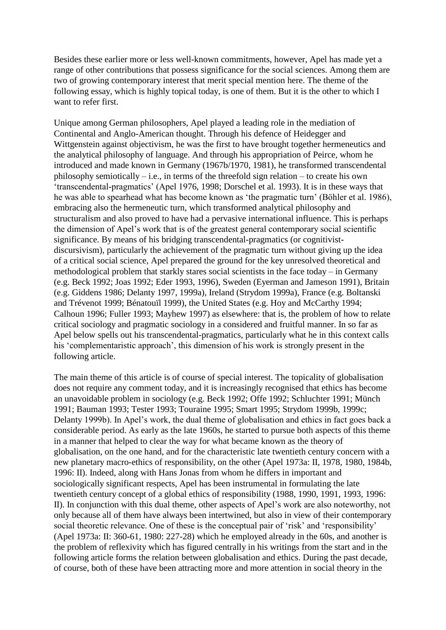Besides these earlier more or less well-known commitments, however, Apel has made yet a range of other contributions that possess significance for the social sciences. Among them are two of growing contemporary interest that merit special mention here. The theme of the following essay, which is highly topical today, is one of them. But it is the other to which I want to refer first.

Unique among German philosophers, Apel played a leading role in the mediation of Continental and Anglo-American thought. Through his defence of Heidegger and Wittgenstein against objectivism, he was the first to have brought together hermeneutics and the analytical philosophy of language. And through his appropriation of Peirce, whom he introduced and made known in Germany (1967b/1970, 1981), he transformed transcendental philosophy semiotically  $-$  i.e., in terms of the threefold sign relation  $-$  to create his own 'transcendental-pragmatics' (Apel 1976, 1998; Dorschel et al. 1993). It is in these ways that he was able to spearhead what has become known as 'the pragmatic turn' (Böhler et al. 1986), embracing also the hermeneutic turn, which transformed analytical philosophy and structuralism and also proved to have had a pervasive international influence. This is perhaps the dimension of Apel's work that is of the greatest general contemporary social scientific significance. By means of his bridging transcendental-pragmatics (or cognitivistdiscursivism), particularly the achievement of the pragmatic turn without giving up the idea of a critical social science, Apel prepared the ground for the key unresolved theoretical and methodological problem that starkly stares social scientists in the face today – in Germany (e.g. Beck 1992; Joas 1992; Eder 1993, 1996), Sweden (Eyerman and Jameson 1991), Britain (e.g. Giddens 1986; Delanty 1997, 1999a), Ireland (Strydom 1999a), France (e.g. Boltanski and Trévenot 1999; Bénatouïl 1999), the United States (e.g. Hoy and McCarthy 1994; Calhoun 1996; Fuller 1993; Mayhew 1997) as elsewhere: that is, the problem of how to relate critical sociology and pragmatic sociology in a considered and fruitful manner. In so far as Apel below spells out his transcendental-pragmatics, particularly what he in this context calls his 'complementaristic approach', this dimension of his work is strongly present in the following article.

The main theme of this article is of course of special interest. The topicality of globalisation does not require any comment today, and it is increasingly recognised that ethics has become an unavoidable problem in sociology (e.g. Beck 1992; Offe 1992; Schluchter 1991; Münch 1991; Bauman 1993; Tester 1993; Touraine 1995; Smart 1995; Strydom 1999b, 1999c; Delanty 1999b). In Apel's work, the dual theme of globalisation and ethics in fact goes back a considerable period. As early as the late 1960s, he started to pursue both aspects of this theme in a manner that helped to clear the way for what became known as the theory of globalisation, on the one hand, and for the characteristic late twentieth century concern with a new planetary macro-ethics of responsibility, on the other (Apel 1973a: II, 1978, 1980, 1984b, 1996: II). Indeed, along with Hans Jonas from whom he differs in important and sociologically significant respects, Apel has been instrumental in formulating the late twentieth century concept of a global ethics of responsibility (1988, 1990, 1991, 1993, 1996: II). In conjunction with this dual theme, other aspects of Apel's work are also noteworthy, not only because all of them have always been intertwined, but also in view of their contemporary social theoretic relevance. One of these is the conceptual pair of 'risk' and 'responsibility' (Apel 1973a: II: 360-61, 1980: 227-28) which he employed already in the 60s, and another is the problem of reflexivity which has figured centrally in his writings from the start and in the following article forms the relation between globalisation and ethics. During the past decade, of course, both of these have been attracting more and more attention in social theory in the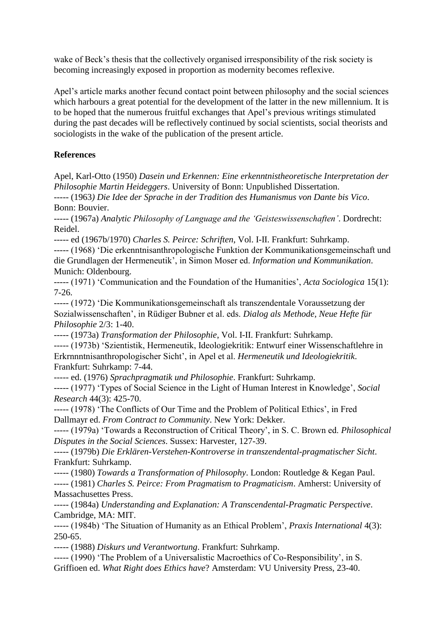wake of Beck's thesis that the collectively organised irresponsibility of the risk society is becoming increasingly exposed in proportion as modernity becomes reflexive.

Apel's article marks another fecund contact point between philosophy and the social sciences which harbours a great potential for the development of the latter in the new millennium. It is to be hoped that the numerous fruitful exchanges that Apel's previous writings stimulated during the past decades will be reflectively continued by social scientists, social theorists and sociologists in the wake of the publication of the present article.

## **References**

Apel, Karl-Otto (1950) *Dasein und Erkennen: Eine erkenntnistheoretische Interpretation der Philosophie Martin Heideggers*. University of Bonn: Unpublished Dissertation.

----- (1963*) Die Idee der Sprache in der Tradition des Humanismus von Dante bis Vico*. Bonn: Bouvier.

----- (1967a) *Analytic Philosophy of Language and the 'Geisteswissenschaften'*. Dordrecht: Reidel.

----- ed (1967b/1970) *Charles S. Peirce: Schriften*, Vol. I-II. Frankfurt: Suhrkamp.

----- (1968) 'Die erkenntnisanthropologische Funktion der Kommunikationsgemeinschaft und die Grundlagen der Hermeneutik', in Simon Moser ed. *Information und Kommunikation*. Munich: Oldenbourg.

----- (1971) 'Communication and the Foundation of the Humanities', *Acta Sociologica* 15(1): 7-26.

----- (1972) 'Die Kommunikationsgemeinschaft als transzendentale Voraussetzung der Sozialwissenschaften', in Rüdiger Bubner et al. eds. *Dialog als Methode, Neue Hefte für Philosophie* 2/3: 1-40.

----- (1973a) *Transformation der Philosophie*, Vol. I-II. Frankfurt: Suhrkamp.

----- (1973b) 'Szientistik, Hermeneutik, Ideologiekritik: Entwurf einer Wissenschaftlehre in Erkrnnntnisanthropologischer Sicht', in Apel et al. *Hermeneutik und Ideologiekritik*. Frankfurt: Suhrkamp: 7-44.

----- ed. (1976) *Sprachpragmatik und Philosophie*. Frankfurt: Suhrkamp.

----- (1977) 'Types of Social Science in the Light of Human Interest in Knowledge', *Social Research* 44(3): 425-70.

----- (1978) 'The Conflicts of Our Time and the Problem of Political Ethics', in Fred Dallmayr ed. *From Contract to Community*. New York: Dekker.

----- (1979a) 'Towards a Reconstruction of Critical Theory', in S. C. Brown ed. *Philosophical Disputes in the Social Sciences*. Sussex: Harvester, 127-39.

----- (1979b) *Die Erklären-Verstehen-Kontroverse in transzendental-pragmatischer Sicht*. Frankfurt: Suhrkamp.

----- (1980) *Towards a Transformation of Philosophy*. London: Routledge & Kegan Paul.

----- (1981) *Charles S. Peirce: From Pragmatism to Pragmaticism*. Amherst: University of Massachusettes Press.

----- (1984a) *Understanding and Explanation: A Transcendental-Pragmatic Perspective*. Cambridge, MA: MIT.

----- (1984b) 'The Situation of Humanity as an Ethical Problem', *Praxis International* 4(3): 250-65.

----- (1988) *Diskurs und Verantwortung*. Frankfurt: Suhrkamp.

----- (1990) 'The Problem of a Universalistic Macroethics of Co-Responsibility', in S. Griffioen ed. *What Right does Ethics have*? Amsterdam: VU University Press, 23-40.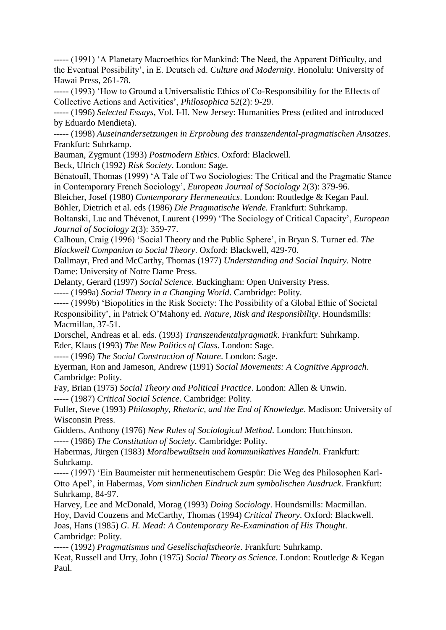----- (1991) 'A Planetary Macroethics for Mankind: The Need, the Apparent Difficulty, and the Eventual Possibility', in E. Deutsch ed. *Culture and Modernity*. Honolulu: University of Hawai Press, 261-78.

----- (1993) 'How to Ground a Universalistic Ethics of Co-Responsibility for the Effects of Collective Actions and Activities', *Philosophica* 52(2): 9-29.

----- (1996) *Selected Essays*, Vol. I-II. New Jersey: Humanities Press (edited and introduced by Eduardo Mendieta).

----- (1998) *Auseinandersetzungen in Erprobung des transzendental-pragmatischen Ansatzes*. Frankfurt: Suhrkamp.

Bauman, Zygmunt (1993) *Postmodern Ethics*. Oxford: Blackwell.

Beck, Ulrich (1992) *Risk Society*. London: Sage.

Bénatouïl, Thomas (1999) 'A Tale of Two Sociologies: The Critical and the Pragmatic Stance in Contemporary French Sociology', *European Journal of Sociology* 2(3): 379-96.

Bleicher, Josef (1980) *Contemporary Hermeneutics*. London: Routledge & Kegan Paul.

Böhler, Dietrich et al. eds (1986) *Die Pragmatische Wende.* Frankfurt: Suhrkamp.

Boltanski, Luc and Thévenot, Laurent (1999) 'The Sociology of Critical Capacity', *European Journal of Sociology* 2(3): 359-77.

Calhoun, Craig (1996) 'Social Theory and the Public Sphere', in Bryan S. Turner ed. *The Blackwell Companion to Social Theory*. Oxford: Blackwell, 429-70.

Dallmayr, Fred and McCarthy, Thomas (1977) *Understanding and Social Inquiry*. Notre Dame: University of Notre Dame Press.

Delanty, Gerard (1997) *Social Science*. Buckingham: Open University Press.

----- (1999a) *Social Theory in a Changing World*. Cambridge: Polity.

----- (1999b) 'Biopolitics in the Risk Society: The Possibility of a Global Ethic of Societal Responsibility', in Patrick O'Mahony ed. *Nature, Risk and Responsibility*. Houndsmills: Macmillan, 37-51.

Dorschel, Andreas et al. eds. (1993) *Transzendentalpragmatik*. Frankfurt: Suhrkamp. Eder, Klaus (1993) *The New Politics of Class*. London: Sage.

----- (1996) *The Social Construction of Nature*. London: Sage.

Eyerman, Ron and Jameson, Andrew (1991) *Social Movements: A Cognitive Approach*. Cambridge: Polity.

Fay, Brian (1975) *Social Theory and Political Practice*. London: Allen & Unwin. ----- (1987) *Critical Social Science*. Cambridge: Polity.

Fuller, Steve (1993) *Philosophy, Rhetoric, and the End of Knowledge*. Madison: University of Wisconsin Press.

Giddens, Anthony (1976) *New Rules of Sociological Method*. London: Hutchinson. ----- (1986) *The Constitution of Society*. Cambridge: Polity.

Habermas, Jürgen (1983) *Moralbewußtsein und kommunikatives Handeln*. Frankfurt: Suhrkamp.

----- (1997) 'Ein Baumeister mit hermeneutischem Gespür: Die Weg des Philosophen Karl-Otto Apel', in Habermas, *Vom sinnlichen Eindruck zum symbolischen Ausdruck*. Frankfurt: Suhrkamp, 84-97.

Harvey, Lee and McDonald, Morag (1993) *Doing Sociology*. Houndsmills: Macmillan. Hoy, David Couzens and McCarthy, Thomas (1994) *Critical Theory*. Oxford: Blackwell. Joas, Hans (1985) *G. H. Mead: A Contemporary Re-Examination of His Thought*. Cambridge: Polity.

----- (1992) *Pragmatismus und Gesellschaftstheorie*. Frankfurt: Suhrkamp.

Keat, Russell and Urry, John (1975) *Social Theory as Science*. London: Routledge & Kegan Paul.